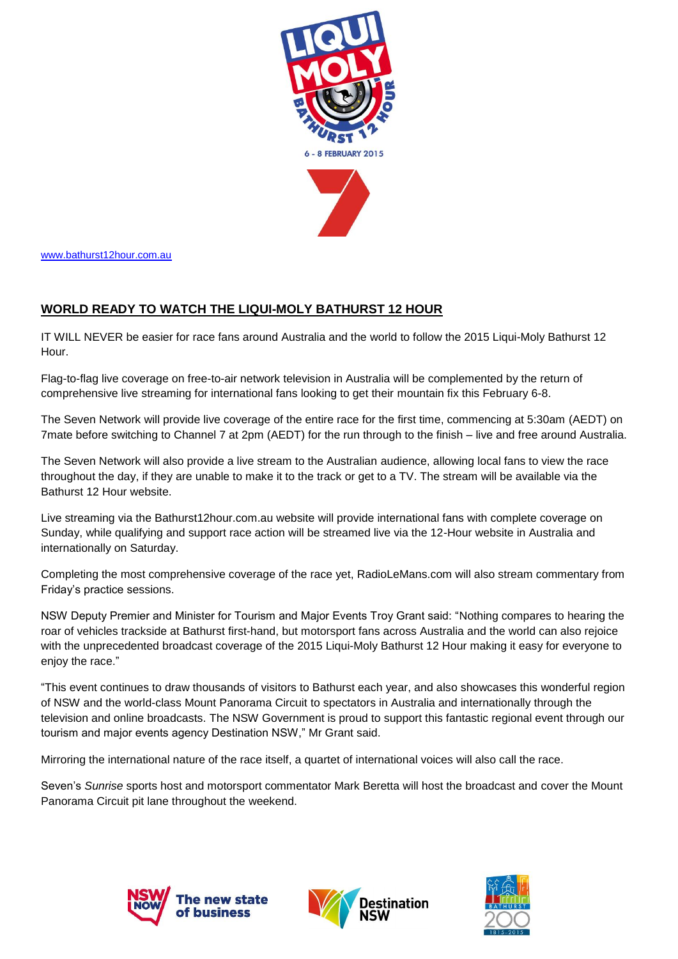

[www.bathurst12hour.com.au](http://www.bathurst12hour.com.au/)

## **WORLD READY TO WATCH THE LIQUI-MOLY BATHURST 12 HOUR**

IT WILL NEVER be easier for race fans around Australia and the world to follow the 2015 Liqui-Moly Bathurst 12 Hour.

Flag-to-flag live coverage on free-to-air network television in Australia will be complemented by the return of comprehensive live streaming for international fans looking to get their mountain fix this February 6-8.

The Seven Network will provide live coverage of the entire race for the first time, commencing at 5:30am (AEDT) on 7mate before switching to Channel 7 at 2pm (AEDT) for the run through to the finish – live and free around Australia.

The Seven Network will also provide a live stream to the Australian audience, allowing local fans to view the race throughout the day, if they are unable to make it to the track or get to a TV. The stream will be available via the Bathurst 12 Hour website.

Live streaming via the Bathurst12hour.com.au website will provide international fans with complete coverage on Sunday, while qualifying and support race action will be streamed live via the 12-Hour website in Australia and internationally on Saturday.

Completing the most comprehensive coverage of the race yet, RadioLeMans.com will also stream commentary from Friday's practice sessions.

NSW Deputy Premier and Minister for Tourism and Major Events Troy Grant said: "Nothing compares to hearing the roar of vehicles trackside at Bathurst first-hand, but motorsport fans across Australia and the world can also rejoice with the unprecedented broadcast coverage of the 2015 Liqui-Moly Bathurst 12 Hour making it easy for everyone to enjoy the race."

"This event continues to draw thousands of visitors to Bathurst each year, and also showcases this wonderful region of NSW and the world-class Mount Panorama Circuit to spectators in Australia and internationally through the television and online broadcasts. The NSW Government is proud to support this fantastic regional event through our tourism and major events agency Destination NSW," Mr Grant said.

Mirroring the international nature of the race itself, a quartet of international voices will also call the race.

Seven's *Sunrise* sports host and motorsport commentator Mark Beretta will host the broadcast and cover the Mount Panorama Circuit pit lane throughout the weekend.